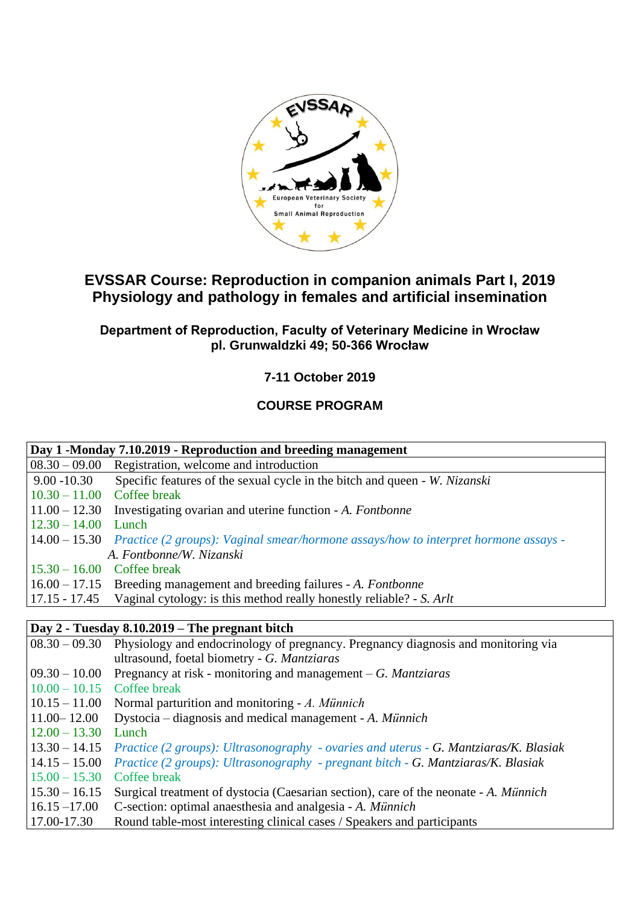

# **EVSSAR Course: Reproduction in companion animals Part I, 2019 Physiology and pathology in females and artificial insemination**

### **Department of Reproduction, Faculty of Veterinary Medicine in Wrocław pl. Grunwaldzki 49; 50-366 Wrocław**

**7-11 October 2019**

## **COURSE PROGRAM**

| Day 1 -Monday 7.10.2019 - Reproduction and breeding management |                                                                                                   |  |
|----------------------------------------------------------------|---------------------------------------------------------------------------------------------------|--|
| $08.30 - 09.00$                                                | Registration, welcome and introduction                                                            |  |
| $9.00 - 10.30$                                                 | Specific features of the sexual cycle in the bitch and queen - W. Nizanski                        |  |
| $10.30 - 11.00$                                                | Coffee break                                                                                      |  |
| $11.00 - 12.30$                                                | Investigating ovarian and uterine function - A. Fontbonne                                         |  |
| $12.30 - 14.00$                                                | Lunch                                                                                             |  |
|                                                                | 14.00 - 15.30 Practice (2 groups): Vaginal smear/hormone assays/how to interpret hormone assays - |  |
|                                                                | A. Fontbonne/W. Nizanski                                                                          |  |
| $15.30 - 16.00$ Coffee break                                   |                                                                                                   |  |
|                                                                | 16.00 – 17.15 Breeding management and breeding failures - A. Fontbonne                            |  |
| $17.15 - 17.45$                                                | Vaginal cytology: is this method really honestly reliable? - S. Arlt                              |  |
|                                                                |                                                                                                   |  |
|                                                                | Day 2 - Tuesday 8.10.2019 – The pregnant bitch                                                    |  |
| $08.30 - 09.30$                                                | Physiology and endocrinology of pregnancy. Pregnancy diagnosis and monitoring via                 |  |
|                                                                | ultrasound, foetal biometry - G. Mantziaras                                                       |  |
| $09.30 - 10.00$                                                | Pregnancy at risk - monitoring and management $-G.$ <i>Mantziaras</i>                             |  |
| $10.00 - 10.15$                                                | Coffee break                                                                                      |  |
| $10.15 - 11.00$                                                | Normal parturition and monitoring - A. Münnich                                                    |  |
| $11.00 - 12.00$                                                | Dystocia – diagnosis and medical management - A. Münnich                                          |  |
| $12.00 - 13.30$                                                | Lunch                                                                                             |  |
| $13.30 - 14.15$                                                | Practice (2 groups): Ultrasonography - ovaries and uterus - G. Mantziaras/K. Blasiak              |  |
| $14.15 - 15.00$                                                | Practice (2 groups): Ultrasonography - pregnant bitch - G. Mantziaras/K. Blasiak                  |  |
| $15.00 - 15.30$                                                | Coffee break                                                                                      |  |
| $15.30 - 16.15$                                                | Surgical treatment of dystocia (Caesarian section), care of the neonate - A. Münnich              |  |
| $16.15 - 17.00$                                                | C-section: optimal anaesthesia and analgesia - A. Münnich                                         |  |
| 17.00-17.30                                                    | Round table-most interesting clinical cases / Speakers and participants                           |  |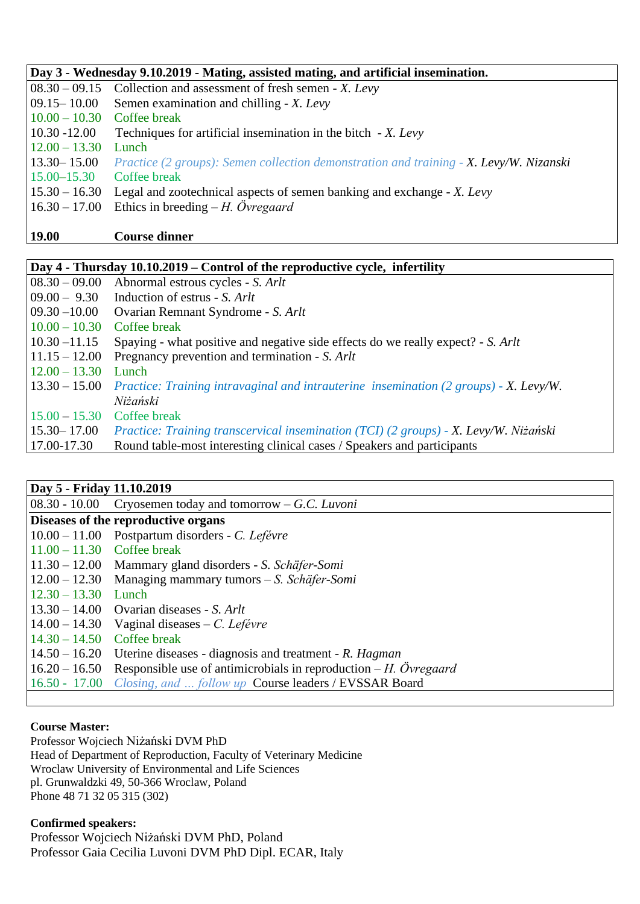| Day 3 - Wednesday 9.10.2019 - Mating, assisted mating, and artificial insemination. |                                                                                        |  |
|-------------------------------------------------------------------------------------|----------------------------------------------------------------------------------------|--|
|                                                                                     | $08.30 - 09.15$ Collection and assessment of fresh semen - X. Levy                     |  |
|                                                                                     | 09.15 – 10.00 Semen examination and chilling - X. Levy                                 |  |
| $10.00 - 10.30$ Coffee break                                                        |                                                                                        |  |
| $10.30 - 12.00$                                                                     | Techniques for artificial insemination in the bitch - X. Levy                          |  |
| $12.00 - 13.30$                                                                     | Lunch                                                                                  |  |
| $13.30 - 15.00$                                                                     | Practice (2 groups): Semen collection demonstration and training - X. Levy/W. Nizanski |  |
| $15.00 - 15.30$                                                                     | Coffee break                                                                           |  |
|                                                                                     | $15.30 - 16.30$ Legal and zootechnical aspects of semen banking and exchange - X. Levy |  |
|                                                                                     | $16.30 - 17.00$ Ethics in breeding $-H$ . <i>Övregaard</i>                             |  |
|                                                                                     |                                                                                        |  |

**19.00 Course dinner**

| Day 4 - Thursday 10.10.2019 – Control of the reproductive cycle, infertility |                                                                                       |  |  |
|------------------------------------------------------------------------------|---------------------------------------------------------------------------------------|--|--|
|                                                                              |                                                                                       |  |  |
| $ 08.30 - 09.00 $                                                            | Abnormal estrous cycles - S. Arlt                                                     |  |  |
| $09.00 - 9.30$                                                               | Induction of estrus - S. Arlt                                                         |  |  |
| $ 09.30 - 10.00 $                                                            | Ovarian Remnant Syndrome - S. Arlt                                                    |  |  |
| $10.00 - 10.30$                                                              | Coffee break                                                                          |  |  |
| $ 10.30 - 11.15 $                                                            | Spaying - what positive and negative side effects do we really expect? - S. Arlt      |  |  |
| $11.15 - 12.00$                                                              | Pregnancy prevention and termination - S. Arlt                                        |  |  |
| $12.00 - 13.30$                                                              | Lunch                                                                                 |  |  |
| $13.30 - 15.00$                                                              | Practice: Training intravaginal and intrauterine insemination (2 groups) - X. Levy/W. |  |  |
|                                                                              | Niżański                                                                              |  |  |
| $15.00 - 15.30$                                                              | Coffee break                                                                          |  |  |
| $15.30 - 17.00$                                                              | Practice: Training transcervical insemination (TCI) (2 groups) - X. Levy/W. Niżański  |  |  |
| 17.00-17.30                                                                  | Round table-most interesting clinical cases / Speakers and participants               |  |  |

## **Day 5 - Friday 11.10.2019**

|                                     | $08.30 - 10.00$ Cryosemen today and tomorrow – G.C. Luvoni                       |  |
|-------------------------------------|----------------------------------------------------------------------------------|--|
| Diseases of the reproductive organs |                                                                                  |  |
|                                     | $10.00 - 11.00$ Postpartum disorders - C. Lefévre                                |  |
| $11.00 - 11.30$ Coffee break        |                                                                                  |  |
|                                     | 11.30 – 12.00 Mammary gland disorders - S. Schäfer-Somi                          |  |
|                                     | $12.00 - 12.30$ Managing mammary tumors - S. Schäfer-Somi                        |  |
| $12.30 - 13.30$ Lunch               |                                                                                  |  |
|                                     | $13.30 - 14.00$ Ovarian diseases - S. Arlt                                       |  |
|                                     | $14.00 - 14.30$ Vaginal diseases – C. Lefévre                                    |  |
| $14.30 - 14.50$ Coffee break        |                                                                                  |  |
|                                     | $14.50 - 16.20$ Uterine diseases - diagnosis and treatment - R. Hagman           |  |
|                                     | $16.20 - 16.50$ Responsible use of antimicrobials in reproduction – H. Ovregaard |  |
|                                     | 16.50 - 17.00 Closing, and  follow up Course leaders / EVSSAR Board              |  |
|                                     |                                                                                  |  |

#### **Course Master:**

Professor Wojciech Niżański DVM PhD Head of Department of Reproduction, Faculty of Veterinary Medicine Wroclaw University of Environmental and Life Sciences pl. Grunwaldzki 49, 50-366 Wroclaw, Poland Phone 48 71 32 05 315 (302)

#### **Confirmed speakers:**

Professor Wojciech Niżański DVM PhD, Poland Professor Gaia Cecilia Luvoni DVM PhD Dipl. ECAR, Italy